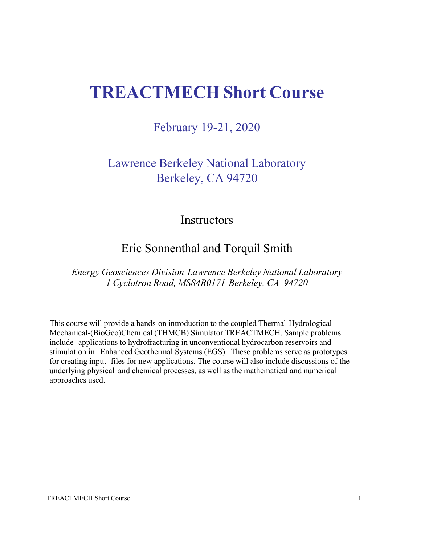# **TREACTMECH Short Course**

February 19-21, 2020

Lawrence Berkeley National Laboratory Berkeley, CA 94720

#### **Instructors**

## Eric Sonnenthal and Torquil Smith

*Energy Geosciences Division Lawrence Berkeley National Laboratory 1 Cyclotron Road, MS84R0171 Berkeley, CA 94720*

This course will provide a hands-on introduction to the coupled Thermal-Hydrological-Mechanical-(BioGeo)Chemical (THMCB) Simulator TREACTMECH. Sample problems include applications to hydrofracturing in unconventional hydrocarbon reservoirs and stimulation in Enhanced Geothermal Systems (EGS). These problems serve as prototypes for creating input files for new applications. The course will also include discussions of the underlying physical and chemical processes, as well as the mathematical and numerical approaches used.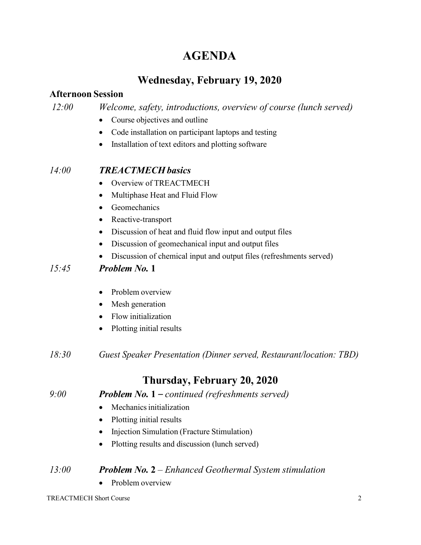# **AGENDA**

## **Wednesday, February 19, 2020**

### **Afternoon Session**

*12:00 Welcome, safety, introductions, overview of course (lunch served)*

- Course objectives and outline
- Code installation on participant laptops and testing
- Installation of text editors and plotting software

## *14:00 TREACTMECH basics*

- Overview of TREACTMECH
- Multiphase Heat and Fluid Flow
- Geomechanics
- Reactive-transport
- Discussion of heat and fluid flow input and output files
- Discussion of geomechanical input and output files
- Discussion of chemical input and output files (refreshments served)

## *15:45 Problem No.* **1**

- Problem overview
- Mesh generation
- Flow initialization
- Plotting initial results
- *18:30 Guest Speaker Presentation (Dinner served, Restaurant/location: TBD)*

## **Thursday, February 20, 2020**

#### *9:00 Problem No.* **1** *– continued (refreshments served)*

- Mechanics initialization
- Plotting initial results
- Injection Simulation (Fracture Stimulation)
- Plotting results and discussion (lunch served)

#### *13:00 Problem No.* **2** *– Enhanced Geothermal System stimulation*

• Problem overview